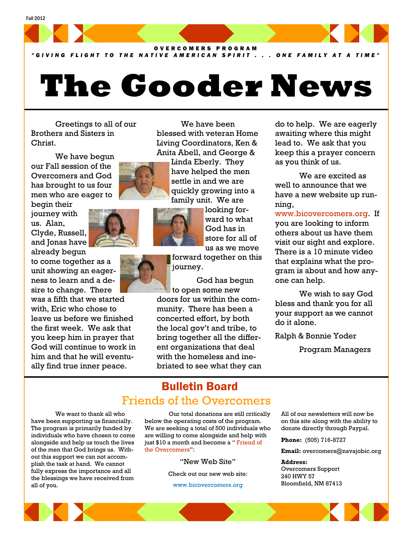

*"GIVING FLIGHT TO THE NATIVE AMERICAN SPIRIT . . . ONE FAMILY AT A TIME"*

# **The Gooder News**

 We have been blessed with veteran Home Living Coordinators, Ken & Anita Abell, and George & Linda Eberly. They have helped the men settle in and we are quickly growing into a family unit. We are

> looking forward to what God has in store for all of us as we move

 Greetings to all of our Brothers and Sisters in Christ.

 We have begun our Fall session of the Overcomers and God has brought to us four men who are eager to

begin their journey with us. Alan, Clyde, Russell, and Jonas have already begun

to come together as a unit showing an eagerness to learn and a desire to change. There

was a fifth that we started with, Eric who chose to leave us before we finished the first week. We ask that you keep him in prayer that God will continue to work in him and that he will eventually find true inner peace.



forward together on this journey.

 God has begun to open some new doors for us within the community. There has been a concerted effort, by both the local gov't and tribe, to bring together all the different organizations that deal with the homeless and inebriated to see what they can

do to help. We are eagerly awaiting where this might lead to. We ask that you keep this a prayer concern as you think of us.

 We are excited as well to announce that we have a new website up running,

www.bicovercomers.org. If you are looking to inform others about us have them visit our sight and explore. There is a 10 minute video that explains what the program is about and how anyone can help.

 We wish to say God bless and thank you for all your support as we cannot do it alone.

Ralph & Bonnie Yoder

Program Managers

### Bulletin Board Friends of the Overcomers

 We want to thank all who have been supporting us financially. The program is primarily funded by individuals who have chosen to come alongside and help us touch the lives of the men that God brings us. Without this support we can not accomplish the task at hand. We cannot fully express the importance and all the blessings we have received from all of you.

 Our total donations are still critically below the operating costs of the program. We are seeking a total of 500 individuals who are willing to come alongside and help with just \$10 a month and become a " Friend of the Overcomers":

"New Web Site"

Check out our new web site:

www.bicovercomers.org

All of our newsletters will now be on this site along with the ability to donate directly through Paypal.

**Phone:** (505) 716-8727

**Email:** overcomers@navajobic.org

### **Address:**  Overcomers Support 240 HWY 57 Bloomfield, NM 87413